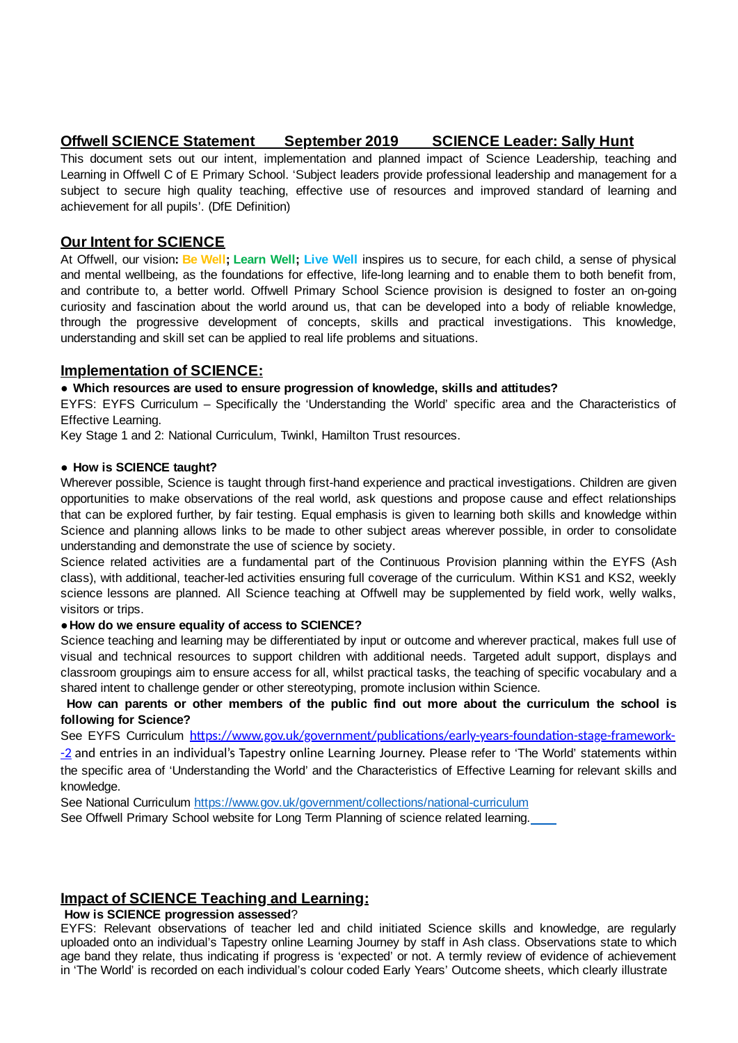## **Offwell SCIENCE Statement September 2019 SCIENCE Leader: Sally Hunt**

This document sets out our intent, implementation and planned impact of Science Leadership, teaching and Learning in Offwell C of E Primary School. 'Subject leaders provide professional leadership and management for a subject to secure high quality teaching, effective use of resources and improved standard of learning and achievement for all pupils'. (DfE Definition)

## **Our Intent for SCIENCE**

At Offwell, our vision**: Be Well; Learn Well; Live Well** inspires us to secure, for each child, a sense of physical and mental wellbeing, as the foundations for effective, life-long learning and to enable them to both benefit from, and contribute to, a better world. Offwell Primary School Science provision is designed to foster an on-going curiosity and fascination about the world around us, that can be developed into a body of reliable knowledge, through the progressive development of concepts, skills and practical investigations. This knowledge, understanding and skill set can be applied to real life problems and situations.

## **Implementation of SCIENCE:**

### **● Which resources are used to ensure progression of knowledge, skills and attitudes?**

EYFS: EYFS Curriculum – Specifically the 'Understanding the World' specific area and the Characteristics of Effective Learning.

Key Stage 1 and 2: National Curriculum, Twinkl, Hamilton Trust resources.

### **● How is SCIENCE taught?**

Wherever possible. Science is taught through first-hand experience and practical investigations. Children are given opportunities to make observations of the real world, ask questions and propose cause and effect relationships that can be explored further, by fair testing. Equal emphasis is given to learning both skills and knowledge within Science and planning allows links to be made to other subject areas wherever possible, in order to consolidate understanding and demonstrate the use of science by society.

Science related activities are a fundamental part of the Continuous Provision planning within the EYFS (Ash class), with additional, teacher-led activities ensuring full coverage of the curriculum. Within KS1 and KS2, weekly science lessons are planned. All Science teaching at Offwell may be supplemented by field work, welly walks, visitors or trips.

#### **●How do we ensure equality of access to SCIENCE?**

Science teaching and learning may be differentiated by input or outcome and wherever practical, makes full use of visual and technical resources to support children with additional needs. Targeted adult support, displays and classroom groupings aim to ensure access for all, whilst practical tasks, the teaching of specific vocabulary and a shared intent to challenge gender or other stereotyping, promote inclusion within Science.

## **How can parents or other members of the public find out more about the curriculum the school is following for Science?**

See EYFS Curriculum https://www.gov.uk/government/publications/early-years-foundation-stage-framework--2 and entries in an individual's Tapestry online Learning Journey. Please refer to 'The World' statements within the specific area of 'Understanding the World' and the Characteristics of Effective Learning for relevant skills and knowledge.

See National Curriculum <https://www.gov.uk/government/collections/national-curriculum>

See Offwell Primary School website for Long Term Planning of science related learning.

# **Impact of SCIENCE Teaching and Learning:**

### **How is SCIENCE progression assessed**?

EYFS: Relevant observations of teacher led and child initiated Science skills and knowledge, are regularly uploaded onto an individual's Tapestry online Learning Journey by staff in Ash class. Observations state to which age band they relate, thus indicating if progress is 'expected' or not. A termly review of evidence of achievement in 'The World' is recorded on each individual's colour coded Early Years' Outcome sheets, which clearly illustrate